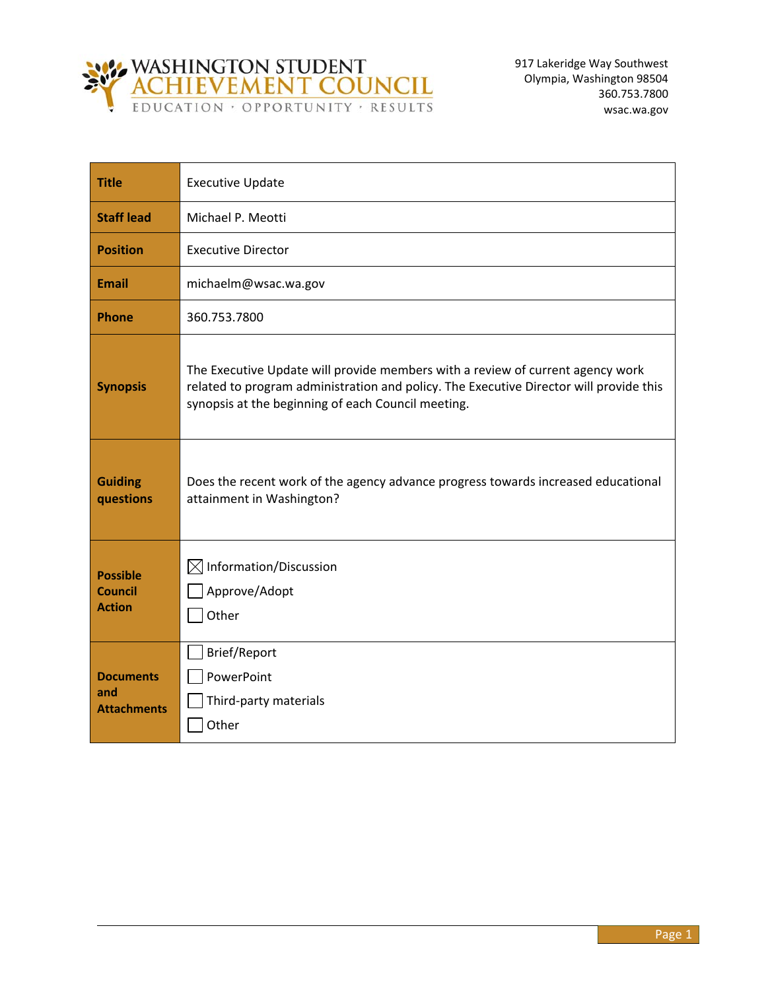

| <b>Title</b>                                       | <b>Executive Update</b>                                                                                                                                                                                                        |
|----------------------------------------------------|--------------------------------------------------------------------------------------------------------------------------------------------------------------------------------------------------------------------------------|
| <b>Staff lead</b>                                  | Michael P. Meotti                                                                                                                                                                                                              |
| <b>Position</b>                                    | <b>Executive Director</b>                                                                                                                                                                                                      |
| <b>Email</b>                                       | michaelm@wsac.wa.gov                                                                                                                                                                                                           |
| <b>Phone</b>                                       | 360.753.7800                                                                                                                                                                                                                   |
| <b>Synopsis</b>                                    | The Executive Update will provide members with a review of current agency work<br>related to program administration and policy. The Executive Director will provide this<br>synopsis at the beginning of each Council meeting. |
| <b>Guiding</b><br>questions                        | Does the recent work of the agency advance progress towards increased educational<br>attainment in Washington?                                                                                                                 |
| <b>Possible</b><br><b>Council</b><br><b>Action</b> | $\boxtimes$ Information/Discussion<br>Approve/Adopt<br>Other                                                                                                                                                                   |
| <b>Documents</b><br>and<br><b>Attachments</b>      | Brief/Report<br>PowerPoint<br>Third-party materials<br>Other                                                                                                                                                                   |